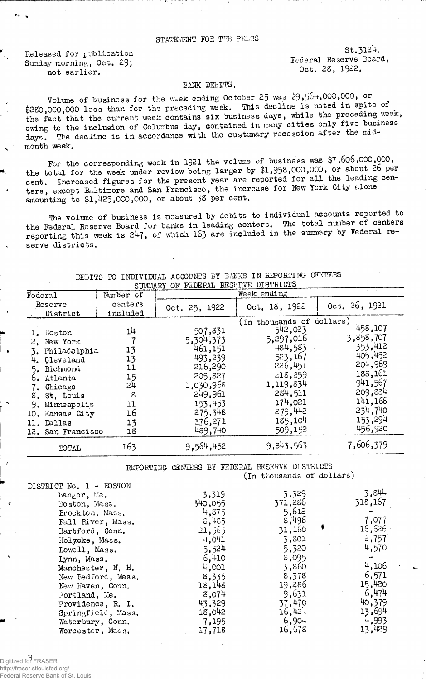## STATEMENT FOR THE PRESS

Released for publication Sunday morning, Oct. 29; not earlier.

St.3124. Federal Reserve Board, Oct. 28, 1922.

## BANK DEBITS.

Volume of business for the week ending October 25 was \$9,564,000,000, or \$280,000,000 less than for the preceding week. This decline is noted in spite of the fact that the current week contains six business days, while the preceding week, owing to the inclusion of Columbus day, contained in many cities only five business days. The decline is in accordance with the customary recession after the midmonth week.

For the corresponding week in 1921 the volume of business was \$7,606,000,000, the total for the week under review being larger by \$1.,958,000,000, or about 26 per cent. Increased figures for the present year are reported for all the leading centers, except Baltimore and San Francisco, the increase for New York City alone amounting to \$1,425,000,000, or about 38 per cent,

The volune of business is measured by debits to individual accounts reported to the Federal Reserve Board for banks in leading centers. The total nunber of centers reporting this week is 247, of which 163 are included in the summary by Federal reserve districts.

|                                                                                                                                                                                                    |                                                               | SUMMARY OF FEDERAL RESERVE DISTRICTS                                                                                                 |                                                                                                                                                                     |                                                                                                                                    |  |  |  |
|----------------------------------------------------------------------------------------------------------------------------------------------------------------------------------------------------|---------------------------------------------------------------|--------------------------------------------------------------------------------------------------------------------------------------|---------------------------------------------------------------------------------------------------------------------------------------------------------------------|------------------------------------------------------------------------------------------------------------------------------------|--|--|--|
| Federal                                                                                                                                                                                            | Number of                                                     |                                                                                                                                      | Week ending                                                                                                                                                         |                                                                                                                                    |  |  |  |
| Reserve<br>District                                                                                                                                                                                | centers<br>included                                           | Oct, 25, 1922                                                                                                                        | Oct. 18, 1922                                                                                                                                                       | Oct. 26, 1921                                                                                                                      |  |  |  |
| 1. Boston<br>2. New York<br>Philadelphia<br>Cleveland<br>Richmond<br>5.<br>Atlanta<br>6.<br>7. Chicago<br>8. St. Louis<br>Minneapolis.<br>9.<br>10. Kansas City<br>11. Dallas<br>12. San Francisco | 14<br>13<br>13<br>11<br>15<br>54<br>8<br>11<br>16<br>13<br>18 | 507,831<br>5,304,373<br>461,151<br>493,239<br>216,290<br>205,827<br>1,030,968<br>249,961<br>153,453<br>275,348<br>176,271<br>489,740 | (In thousands of dollars)<br>542,023<br>5,297,016<br>484,583<br>523,167<br>226,451<br>$-18,259$<br>1,119,834<br>284,511<br>174,021<br>279,442<br>185,104<br>509,152 | 458,107<br>3,858,707<br>353,412<br>405,452<br>204,969<br>188,161<br>941,567<br>209,884<br>141,166<br>234,740<br>153,294<br>456,920 |  |  |  |
| TOTAL                                                                                                                                                                                              | 163                                                           | 9,564,452                                                                                                                            | 9,843,563                                                                                                                                                           | 7,606,379                                                                                                                          |  |  |  |

DEBITS TO INDIVIDUAL ACCOUNTS BY BANKS IN REPORTING CENTERS

REPORTING CENTERS BY FEDERAL RESERVE DISTRICTS (in thousands of dollars)

| DISTRICT No. 1 - BOSTON |         |         |            |
|-------------------------|---------|---------|------------|
| Bangor, Me.             | 3,319   | 3,329   | 3,844      |
| Boston, Mass.           | 340,055 | 371,286 | 318,167    |
| Brockton, Mass.         | 4,875   | 5,612   |            |
| Fall River, Mass.       | 8,485   | 8,496   | 7,077      |
| Hartford, Conn.         | 21,565  | 31,160  | $16,626$ : |
| Holyoke, Mass.          | 4,041   | 3,801   | 2,757      |
| Lowell, Mass.           | 5,524   | 5,320   | 4,570      |
| Lynn, Mass.             | 6,410   | 8,095   |            |
| Manchester, N. H.       | 4,001   | 3,860   | 4,106      |
| New Bedford, Mass.      | 8,335   | 8,378   | 6,571      |
| New Haven, Conn.        | 18,148  | 19,286  | 15,420     |
| Portland, Me.           | 8,074   | 9,631   | 6,474      |
| Providence, R. I.       | 43,329  | 37,470  | 40,379     |
| Springfield, Mass,      | 18,042  | 16,424  | 13,694     |
| Waterbury, Conn.        | 7,195   | 6,904   | 4,993      |
| Worcester, Mass.        | 17,718  | 16,678  | 13,429     |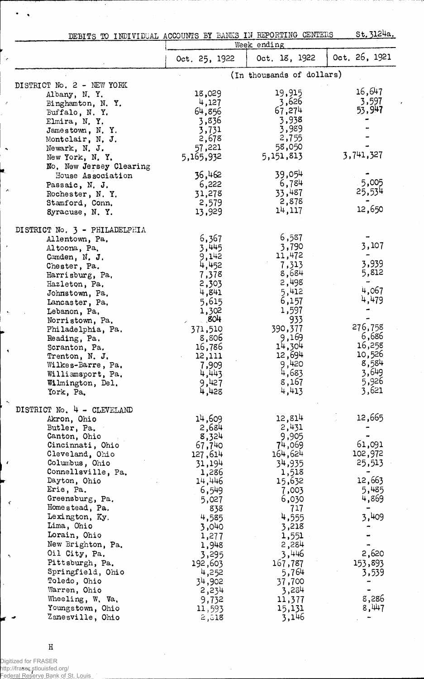| DEBITS TO INDIVIDUAL ACCOUNTS BY BANKS IN REPORTING CENTERS<br>Week ending |                  |                           |               |
|----------------------------------------------------------------------------|------------------|---------------------------|---------------|
|                                                                            |                  | Oct. 18, 1922             | Oct. 26, 1921 |
|                                                                            | Oct. 25, 1922    |                           |               |
| DISTRICT No. 2 - NEW YORK                                                  |                  | (In thousands of dollars) |               |
| Albany, N.Y.                                                               | 18,029           | 19,915                    | 16,647        |
| Binghamton, N.Y.                                                           | 4,127            | 3,626                     | 3,597         |
| Buffalo, N.Y.                                                              | 64,856           | 67,274                    | 53,947        |
| Elmira, N.Y.                                                               | 3,836            | 3,938                     |               |
| Jamestown, N.Y.                                                            | 3,731            | 3,989                     |               |
| Montclair, N. J.                                                           | 2,678            | 2,755                     |               |
| Newark, N. J.                                                              | 57,221           | 58,050                    |               |
| New York, N.Y.                                                             | 5,165,932        | 5,151,813                 | 3,741,327     |
| No. New Jersey Clearing                                                    |                  |                           |               |
| House Association                                                          | 36,462           | 39,054                    |               |
| Passaic, N. J.                                                             | 6,222            | 6,784                     | 5,005         |
| Rochester, N.Y.                                                            | 31,278           | 33,487                    | 25,534        |
| Stamford, Conn.                                                            | 2,579            | 2,878                     | 12,650        |
| Syracuse, N.Y.                                                             | 13,929           | 14,117                    |               |
| DISTRICT No. 3 - PHILADELPHIA                                              |                  |                           |               |
| Allentown, Pa.                                                             | 6,367            | 6,587                     |               |
| Altoona, Pa.                                                               | 3,445            | 3,790                     | 3,107         |
| Camden, N. J.                                                              | 9,142            | 11,472                    |               |
| Chester, Pa.                                                               | 4,452            | 7,313                     | 3,939         |
| Harrisburg, Pa.                                                            | 7,378            | 8,684                     | 5,812         |
| Hazleton, Pa.                                                              | 2,303            | 2,498                     | 4,067         |
| Johnstown, Pa.                                                             | 4,841            | 5,412                     | 4,479         |
| Lancaster, Pa.                                                             | 5,615            | 6,157                     |               |
| Lebanon, Pa,                                                               | 1,302<br>.804    | 1,597<br>933              |               |
| Norristown, Pa.                                                            |                  | 390,377                   | 276,758       |
| Philadelphia, Pa.                                                          | 371,510<br>8,806 | 9,169                     | 6,686         |
| Reading, Pa.                                                               | 16,786           | 14,304                    | 16,258        |
| Scranton, Pa.<br>Trenton, N. J.                                            | 12,111           | 12,694                    | 10,526        |
| Wilkes-Barre, Pa.                                                          | 7,909            | 9,420                     | 8,584         |
| Williamsport, Pa.                                                          | 4,443            | 4,683                     | 3,649         |
| Wilmington, Del.                                                           | 9,427            | 8,167                     | 5,926         |
| York, Pa.                                                                  | 4,428            | 4,413                     | 3,621         |
|                                                                            |                  |                           |               |
| DISTRICT No. 4 - CLEVELAND<br>Akron, Ohio                                  | 14,609           | 12,814                    | 12,665        |
| Butler, Pa.                                                                | 2,684            | 2,431                     |               |
| Canton, Ohio                                                               | 8,324            | 9,905                     |               |
| Cincinnati, Ohio                                                           | 67,740           | 74,069                    | 61,091        |
| Cleveland, Ohio                                                            | 127,614          | 164,624                   | 102,972       |
| Columbus, Ohio                                                             | 31,194           | 34,935                    | 25,513        |
| Connellsville, Pa.                                                         | 1,286            | 1,518                     |               |
| Dayton, Ohio                                                               | 14,446           | 15,632                    | 12,663        |
| Erie, Pa.                                                                  | 6,549            | 7,003                     | 5,485         |
| Greensburg, Pa.                                                            | 5,027            | 6,030                     | 4,869         |
| Homestead, Pa.                                                             | 838              | 717                       |               |
| Lexington, Ky.                                                             | 4,585            | 4,555                     | 3,409         |
| Lima, Ohio                                                                 | 3,040            | 3,218                     |               |
| Lorain, Ohio                                                               | 1,277            | 1,551                     |               |
| New Brighton, Pa.                                                          | 1,948            | 2,284                     |               |
| Oil City, Pa.                                                              | 3,295            | 3,446                     | 2,620         |
| Pittsburgh, Pa.                                                            | 192,603          | 167,787                   | 153,893       |
| Springfield, Ohio                                                          | 4,252            | 5,764                     | 3,539         |
| Toledo, Ohio                                                               | 34,902           | 37,700                    |               |
| Warren, Ohio                                                               | 2,234            | 3,284                     |               |
| Wheeling, W. Va.                                                           | 9,732            | 11,377                    | 8,286         |
| Youngstown, Ohio                                                           | 11,593           | 15,131                    | 8,447         |
| Zanesville, Ohio                                                           | 2,318            | 3,146                     |               |

 $\rm H$ 

Digitized for FRASER http://fraser.stlouisfed.org/

 $\lambda$ 

 $\varsigma$ 

Federal Reserve Bank of St. Louis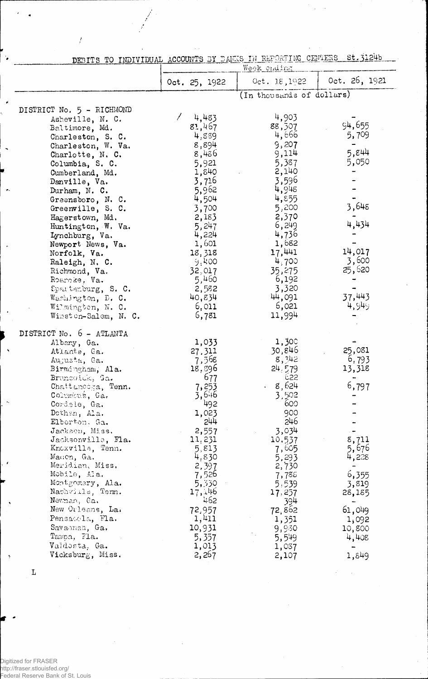| DEBITS TO INDIVIDUAL ACCOUNTS BY BANKS IN REPORTING CENTERS St. 3124b |  |  |  |  |  |
|-----------------------------------------------------------------------|--|--|--|--|--|
|                                                                       |  |  |  |  |  |
|                                                                       |  |  |  |  |  |
|                                                                       |  |  |  |  |  |

 $\frac{1}{2}$ 

 $\hat{\mathcal{A}}$  $\bar{\mathcal{A}}$ 

|                                                                                                                                                                                                                                                                         |                                                                                                                                  | Week ending                                                                                                                    |                                                                         |
|-------------------------------------------------------------------------------------------------------------------------------------------------------------------------------------------------------------------------------------------------------------------------|----------------------------------------------------------------------------------------------------------------------------------|--------------------------------------------------------------------------------------------------------------------------------|-------------------------------------------------------------------------|
|                                                                                                                                                                                                                                                                         | Oct. 25, 1922                                                                                                                    | Oct. 18, 1922                                                                                                                  | 0ct. 26, 1921                                                           |
|                                                                                                                                                                                                                                                                         |                                                                                                                                  | (In thousands of dollars)                                                                                                      |                                                                         |
| DISTRICT No. 5 - RICHMOND                                                                                                                                                                                                                                               |                                                                                                                                  |                                                                                                                                |                                                                         |
| Asheville, N. C.<br>Baltimore, Md.<br>Charleston, S. C.<br>Charleston, W. Va.<br>Charlotte, N. C.                                                                                                                                                                       | $\frac{1}{4}$ ,483<br>8:,467<br>4,889<br>8,894<br>8,486                                                                          | 4,903<br>88,507<br>4,666<br>9,207<br>9,114                                                                                     | 94,655<br>5,709<br>5,844                                                |
| Columbia, S. C.<br>Cumberland, Md.<br>Danville, Va.<br>Durham, N. C.                                                                                                                                                                                                    | 5,921<br>1,840<br>3,716<br>5,962                                                                                                 | 5,387<br>2,140<br>3,596<br>4,948                                                                                               | 5,050                                                                   |
| Greensboro, N. C.<br>Greenville, S. C.<br>Hagerstown, Md.<br>Huntington, W. Va.<br>Lynchburg, Va.                                                                                                                                                                       | 4,504<br>3,700<br>2,183<br>5,247<br>4,224                                                                                        | 4,855<br>5,200<br>2,370<br>6,249<br>4,736                                                                                      | 3,648<br>4,434                                                          |
| Newport News, Va.<br>Norfolk, Va.<br>Raleigh, N. C.<br>Richmond, Va.<br>Roaroke, Va.                                                                                                                                                                                    | 1,601<br>18,318<br>-9.400<br>32,017<br>5,460                                                                                     | 1,682<br>17,441<br>4,700<br>35,275<br>6,192                                                                                    | 14,017<br>3,600<br>25,620                                               |
| Spartanburg, S. C.<br>Washington, D. C.<br>Wilmington, N. C.<br>Winston-Salem, N. C.                                                                                                                                                                                    | 2,582<br>40,834<br>6,011<br>6,781                                                                                                | 3,320<br>44,091<br>6,021<br>11,994                                                                                             | 37,443<br>4,949                                                         |
| DISTRICT No. 6 - ATLANTA                                                                                                                                                                                                                                                |                                                                                                                                  |                                                                                                                                |                                                                         |
| Albany, Ga.<br>Atlante, Ca.<br>Augusta, Ga.<br>Birmingham, Ala.<br>Bruncwick, Ga.<br>Chattanodga, Tenn.<br>Columbus, Ga.<br>Cordele, Ga.<br>Dothen, Ala.<br>Elberton. Ga.<br>Jackson, Miss.<br>Jacksonville, Fla.<br>Knoxville, Tenn.<br>Macion, Ga.<br>Meridian, Miss. | 1,033<br>27,311<br>7,568<br>18,896<br>677<br>7,253<br>3,646<br>492<br>1,023<br>544<br>2,557<br>11,231<br>5,813<br>4,830<br>2,397 | 1,300<br>30,846<br>8,342<br>24.579<br>622<br>8,624<br>3,502<br>600<br>900<br>246<br>3,034<br>10.537<br>7,605<br>5,293<br>2,730 | 25,081<br>6.793<br>13,318<br>6,797<br>8,711<br>5,676<br>4,228           |
| Mobile, Ala.<br>Montgomery, Ala.<br>Nashville, Tem.<br>Nevman, Ga.<br>New Orleans, La.<br>Pensacola, Fla.<br>Savaonan, Ga.<br>Tampa, Fla.<br>Valdosta, Ga.<br>Vicksburg, Miss.                                                                                          | 7,526<br>5,330<br>17,146<br>462<br>72,957<br>1,411<br>10,931<br>5,357<br>1,013<br>2,267                                          | 7,788<br>5,539<br>17, 257<br>394<br>72,862<br>1,351<br>9,930<br>5,549<br>1,037<br>2,107                                        | 6,355<br>3,819<br>28,185<br>61,049<br>1,092<br>10,800<br>4,408<br>1,849 |

 $\mathbf L$ 

.<br>Digitized for FRASER<br>http://fraser.stlouisfed.org/<br>Federal Reserve Bank of St. Louis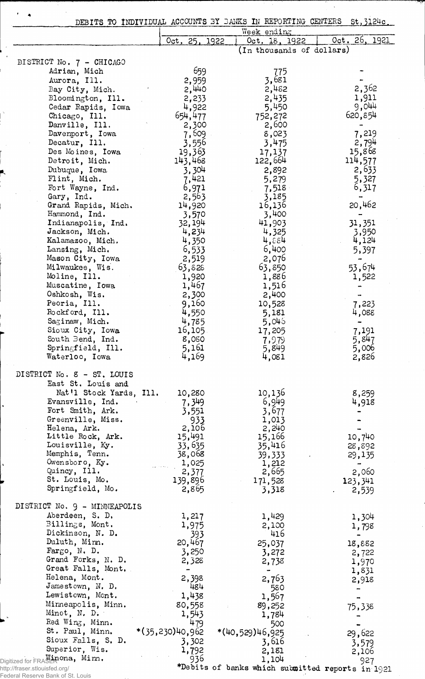|                                                  |                          | DEBITS TO INDIVIDUAL ACCOUNTS BY BANKS IN REPORTING CENTERS | st, 3124c.        |
|--------------------------------------------------|--------------------------|-------------------------------------------------------------|-------------------|
|                                                  | Oct. 25, 1922            | Week ending<br>Oct. 18, 1922                                | Oct. 26, 1921     |
|                                                  |                          | (In thousands of dollars)                                   |                   |
| DISTRICT No. 7 - CHICAGO                         |                          |                                                             |                   |
| Adrian, Mich                                     | 659                      |                                                             |                   |
|                                                  |                          | 775<br>3,681                                                |                   |
| Aurora, Ill.                                     | 2,959                    | 2,452                                                       | 2,362             |
| Bay City, Mich.<br>Bloomington, Ill.             | 2,440                    | 2,435                                                       | 1,911             |
| Cedar Rapids, Iowa                               | 2,233<br>4,922           | 5,450                                                       | 9,044             |
| Chicago, Ill.                                    | 654,477                  | 752,272                                                     | 620,854           |
| Danville, Ill.                                   | 2,300                    | 2,600                                                       |                   |
| Davenport, Iowa                                  | 7,609                    | 8,023                                                       | 7,219             |
| Decatur, Ill.                                    | 3,556                    | 3,475                                                       | 2,794             |
| Des Moines, Iowa                                 | 19,363                   | 17,137                                                      | 15,868            |
| Detroit, Mich.                                   | 143,468                  | 122,664                                                     | 114,577           |
| Dubuque, Iowa                                    | 3,304                    | 2,892                                                       | 2,633             |
| Flint, Mich.                                     | 7,421                    | 5,279                                                       | 5,327             |
| Fort Wayne, Ind.                                 | 6,971                    | 7,518                                                       | 6,317             |
| Gary, Ind.                                       | 2,563                    | 3,185                                                       |                   |
| Grand Rapids, Mich.                              | 14,920                   | 16,136                                                      | 20,462            |
| Hammond, Ind.                                    | 3,570                    | 3,400                                                       |                   |
| Indianapolis, Ind.                               | 32,194                   | 41,903                                                      | 31,351            |
| Jackson, Mich.                                   | 4,234                    | 4,325                                                       | 3,950             |
| Kalamazoo, Mich.                                 | 4,350                    | $4, \varepsilon \varepsilon$ 4                              | 4,124             |
| Lansing, Mich.                                   | 6,533                    | 6,400                                                       | 5,397             |
| Mason City, Iowa                                 | 2,519                    | 2,076                                                       |                   |
| Milwaukee, Wis.                                  | 63,828                   | 63,850                                                      | 53,674            |
| Moline, Ill.                                     | 1,920                    | 1,886                                                       | 1,522             |
| Muscatine, Iowa                                  | 1,467                    | 1,516                                                       |                   |
| Oshkosh, Wis.                                    | 2,300                    | 2,400                                                       |                   |
| Peoria, Ill.                                     | 9,160                    | 10,528                                                      | 7,223             |
| Rockford, Ill.                                   | 4,550                    | 5,181                                                       | 4,088             |
| Saginaw, Mich.                                   | 4,785                    | 5,046                                                       |                   |
| Sioux City, Iowa                                 | 16,105                   | 17,205                                                      | 7,191             |
| South Bend, Ind.                                 | 8,080                    | 7,979                                                       | 5,847             |
| Springfield, Ill.                                | 5,161                    | 5,849                                                       | 5,006             |
| Waterloo, Iowa                                   | 4,169                    | 4,081                                                       | 2,826             |
|                                                  |                          |                                                             |                   |
| DISTRICT No. 8 - ST. LOUIS                       |                          |                                                             |                   |
| East St. Louis and                               |                          |                                                             |                   |
| Nat'l Stock Yards, Ill.                          | 10,280                   | 10,136                                                      | 8,259             |
| Evansville, Ind.                                 | 7,349                    | 6,949                                                       | 4,918             |
| Fort Smith, Ark.                                 | 3,551                    | 3,677                                                       |                   |
| Greenville, Miss.                                | $933$<br>2,106           | 1,013                                                       |                   |
| Helena, Ark.                                     |                          | 2, 240                                                      |                   |
| Little Rock, Ark.                                | 15,491                   | 15,166                                                      | 10,740            |
| Louisville, Ky.                                  | 33,635                   | 35,416                                                      | 28,892            |
| Memphis, Tenn.                                   | 38,068                   | 39,333                                                      | 29,135            |
| Owensboro, Ky.<br>Quincy, Ill.                   | $\frac{1,025}{2,377}$    | 1,212                                                       |                   |
| St. Louis, Mo.                                   |                          | 2,665                                                       | 2,060             |
| Springfield, Mo.                                 | 139,896<br>2,865         | 171,528<br>3,318                                            | 123, 341<br>2,539 |
|                                                  |                          |                                                             |                   |
| DISTRICT No. 9 - MINNEAPOLIS                     |                          |                                                             |                   |
| Aberdeen, S. D.                                  | 1,217                    | 1,429                                                       | 1,304             |
| Billings, Mont.                                  | 1,975                    | 2,100                                                       | 1,798             |
| Dickinson, N. D.                                 | 393                      | 416                                                         |                   |
| Duluth, Minn.                                    | 20,467                   | 25,037                                                      | 18,882            |
| Fargo, N. D.                                     | 3,250                    | 3,272                                                       | 2,722             |
| Grand Forks, N. D.                               | 2,328                    | 2,738                                                       | 1,970             |
| Great Falls, Mont.                               | $\overline{\phantom{a}}$ | $\blacksquare$                                              | 1,831             |
| Helena, Mont.                                    | 2,398                    | 2,763                                                       | 2,918             |
| Jamestown, N. D.                                 | 484                      | 580                                                         |                   |
| Lewistown, Mont.                                 | 1,438                    | 1,567                                                       |                   |
| Minneapolis, Minn.                               | 80,558                   | 89,252                                                      | 75,338            |
| Minot, $N. D.$                                   | 1,543                    | 1,784                                                       |                   |
| Red Wing, Minn.                                  | 479                      | 500                                                         |                   |
|                                                  | *(35,230)40,962          | *(40,529)46,925                                             | 29,622            |
| St. Paul, Minn.                                  |                          |                                                             |                   |
| Sioux Falls, S. D.                               | 3,302                    | 3,616                                                       |                   |
| Superior, Wis.<br>Digitized for FRASER ona, Mim. | 1,792<br>936             | 2,181<br>1,104                                              | 3,579<br>2,106    |

Federal Reserve Bank of St. Louis

 $\mathcal{F}^{\mathcal{G}}(\mathbf{A})$ 

eports in  $1$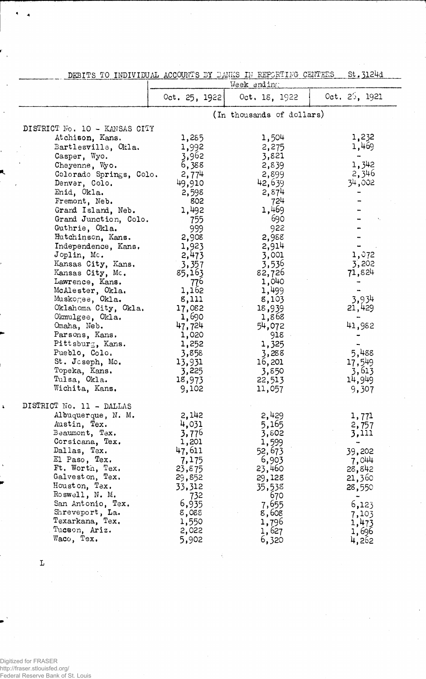|                                                                                                                                                                                                                                                                                                                                                                                                                                                                                                                                        | Week anding                                                                                                                                                                                                               |                                                                                                                                                                                                                           |                                                                                                                       |  |  |
|----------------------------------------------------------------------------------------------------------------------------------------------------------------------------------------------------------------------------------------------------------------------------------------------------------------------------------------------------------------------------------------------------------------------------------------------------------------------------------------------------------------------------------------|---------------------------------------------------------------------------------------------------------------------------------------------------------------------------------------------------------------------------|---------------------------------------------------------------------------------------------------------------------------------------------------------------------------------------------------------------------------|-----------------------------------------------------------------------------------------------------------------------|--|--|
|                                                                                                                                                                                                                                                                                                                                                                                                                                                                                                                                        | Oct. 25. 1922                                                                                                                                                                                                             | Oct. 18, 1922                                                                                                                                                                                                             | 0ct. 25, 1921                                                                                                         |  |  |
|                                                                                                                                                                                                                                                                                                                                                                                                                                                                                                                                        |                                                                                                                                                                                                                           | (In thousands of dollars)                                                                                                                                                                                                 |                                                                                                                       |  |  |
| DISTRICT No. 10 - KANSAS CITY<br>Atchison, Kans.<br>Bartlesville, Okla.<br>Casper, Wyo.<br>Cheyenne, Wyo.<br>Colorado Springs, Colo.<br>Denver, Colo.<br>Enid, Okla.<br>Fremont, Neb.<br>Grand Island, Neb.<br>Grand Junction, Colo.<br>Guthrie, Okla.<br>Hutchinson, Kans.<br>Independence, Kans.<br>Joplin, Mc.<br>Kansas City, Kans.<br>Kansas City, Mc.<br>Lawrence, Kans.<br>McAlester, Okla.<br>Muskogee, Okla.<br>Oklahoma City, Okla.<br>Okmulgee, Okla.<br>Omaha, Neb.<br>Parsons, Kans.<br>Pittsburg, Kans.<br>Pueblo, Colo. | 1,285<br>1,992<br>3,962<br>6,388<br>2,774<br>49,910<br>2,598<br>802<br>1,492<br>755<br>999<br>2,908<br>1,923<br>2,473<br>3,357<br>85,163<br>776<br>1,162<br>8,111<br>17,082<br>1,690<br>47,724<br>1,020<br>1,252<br>3,858 | 1,504<br>2,275<br>3,821<br>2,839<br>2,899<br>42,639<br>2,874<br>724<br>1,469<br>690<br>922<br>2,988<br>2,914<br>3,001<br>3,536<br>82,726<br>1,040<br>1,499<br>8,103<br>18,939<br>1,868<br>54,072<br>918<br>1,325<br>3,288 | 1,232<br>1,469<br>1,342<br>2,346<br>34,002<br>1,072<br>3,202<br>71,824<br>3,934<br>21,429<br>41,982<br>5,488          |  |  |
| St. Joseph, Mo.<br>Topeka, Kans.<br>Tulsa, Okla.<br>Wichita, Kans.                                                                                                                                                                                                                                                                                                                                                                                                                                                                     | 13,931<br>3,225<br>18,973<br>9,102                                                                                                                                                                                        | 16,201<br>3,850<br>22,513<br>11,057                                                                                                                                                                                       | 17,549<br>3,613<br>14,949<br>9,307                                                                                    |  |  |
| DISTRICT No. 11 - DALLAS<br>Albuquerque, N. M.<br>Austin, Tex.<br>Beaumont, Tex.<br>Corsicana, Tex.<br>Dallas, Tex.<br>El Paso, Tex.<br>Ft. Worth, Tex.<br>Galveston, Tex.<br>Houston, Tex.<br>Roswell, N. M.<br>San Antonio, Tex.<br>Shreveport, La.<br>Texarkana, Tex.<br>Tucson, Ariz.<br>Waco, Tex.                                                                                                                                                                                                                                | 2,142<br>4,031<br>3,776<br>1,201<br>47,611<br>7,175<br>23,875<br>29,852<br>33,312<br>732<br>6,935<br>8,088<br>1,550<br>2,022<br>5,902                                                                                     | 2,429<br>5,165<br>3,802<br>1,599<br>52,673<br>6,903<br>23,460<br>29,128<br>35,538<br>670<br>7,655<br>8,608<br>1,796<br>1,627<br>6,320                                                                                     | 1,771<br>2,757<br>3,111<br>39,202<br>7,044<br>28,842<br>21,360<br>28,550<br>6,123<br>7,103<br>1,473<br>1,696<br>4,262 |  |  |

DEBITS TO INDIVIDUAL ACCOUNTS BY BANKS IN REPORTING CENTERS St. 3124d

L

 $\rightarrow$ 

 $\ddot{\bullet}$ 

 $\ddot{\phantom{1}}$ 

ł,

R,

 $\tilde{\textbf{z}}$ 

Digitized for FRASER http://fraser.stlouisfed.org/ Federal Reserve Bank of St. Louis